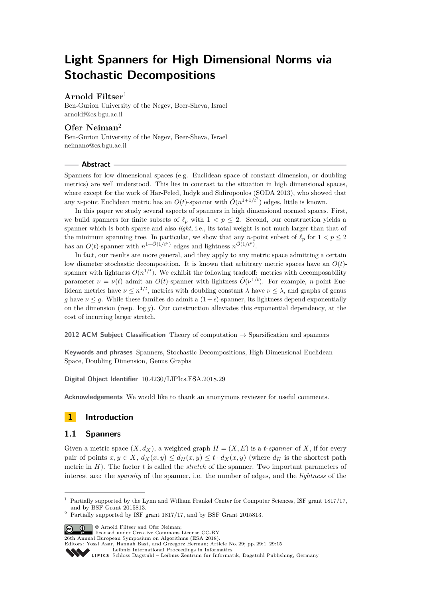# **Light Spanners for High Dimensional Norms via Stochastic Decompositions**

# **Arnold Filtser**<sup>1</sup>

Ben-Gurion University of the Negev, Beer-Sheva, Israel [arnoldf@cs.bgu.ac.il](mailto:arnoldf@cs.bgu.ac.il)

# **Ofer Neiman**<sup>2</sup>

Ben-Gurion University of the Negev, Beer-Sheva, Israel [neimano@cs.bgu.ac.il](mailto:neimano@cs.bgu.ac.il)

#### **Abstract**

Spanners for low dimensional spaces (e.g. Euclidean space of constant dimension, or doubling metrics) are well understood. This lies in contrast to the situation in high dimensional spaces, where except for the work of Har-Peled, Indyk and Sidiropoulos (SODA 2013), who showed that any *n*-point Euclidean metric has an  $O(t)$ -spanner with  $\tilde{O}(n^{1+1/t^2})$  edges, little is known.

In this paper we study several aspects of spanners in high dimensional normed spaces. First, we build spanners for finite subsets of  $\ell_p$  with  $1 < p \leq 2$ . Second, our construction yields a spanner which is both sparse and also *light*, i.e., its total weight is not much larger than that of the minimum spanning tree. In particular, we show that any *n*-point subset of  $\ell_p$  for  $1 < p \leq 2$ has an  $O(t)$ -spanner with  $n^{1+\tilde{O}(1/t^p)}$  edges and lightness  $n^{\tilde{O}(1/t^p)}$ .

In fact, our results are more general, and they apply to any metric space admitting a certain low diameter stochastic decomposition. It is known that arbitrary metric spaces have an  $O(t)$ spanner with lightness  $O(n^{1/t})$ . We exhibit the following tradeoff: metrics with decomposability parameter  $\nu = \nu(t)$  admit an  $O(t)$ -spanner with lightness  $\tilde{O}(\nu^{1/t})$ . For example, *n*-point Euclidean metrics have  $\nu \leq n^{1/t}$ , metrics with doubling constant  $\lambda$  have  $\nu \leq \lambda$ , and graphs of genus *g* have  $\nu \leq g$ . While these families do admit a  $(1+\epsilon)$ -spanner, its lightness depend exponentially on the dimension (resp. log *g*). Our construction alleviates this exponential dependency, at the cost of incurring larger stretch.

**2012 ACM Subject Classification** Theory of computation → Sparsification and spanners

**Keywords and phrases** Spanners, Stochastic Decompositions, High Dimensional Euclidean Space, Doubling Dimension, Genus Graphs

**Digital Object Identifier** [10.4230/LIPIcs.ESA.2018.29](http://dx.doi.org/10.4230/LIPIcs.ESA.2018.29)

**Acknowledgements** We would like to thank an anonymous reviewer for useful comments.

# **1 Introduction**

## **1.1 Spanners**

Given a metric space  $(X, d_X)$ , a weighted graph  $H = (X, E)$  is a *t*-*spanner* of X, if for every pair of points  $x, y \in X$ ,  $d_X(x, y) \leq d_H(x, y) \leq t \cdot d_X(x, y)$  (where  $d_H$  is the shortest path metric in *H*). The factor *t* is called the *stretch* of the spanner. Two important parameters of interest are: the *sparsity* of the spanner, i.e. the number of edges, and the *lightness* of the

© Arnold Filtser and Ofer Neiman; licensed under Creative Commons License CC-BY

26th Annual European Symposium on Algorithms (ESA 2018).

<sup>1</sup> Partially supported by the Lynn and William Frankel Center for Computer Sciences, ISF grant 1817/17, and by BSF Grant 2015813.

<sup>2</sup> Partially supported by ISF grant 1817/17, and by BSF Grant 2015813.

Editors: Yossi Azar, Hannah Bast, and Grzegorz Herman; Article No. 29; pp. 29:1–29[:15](#page-14-0)

[Leibniz International Proceedings in Informatics](http://www.dagstuhl.de/lipics/)

Leibniz International Froceedings in Informatik, Dagstuhl Publishing, Germany<br>LIPICS [Schloss Dagstuhl – Leibniz-Zentrum für Informatik, Dagstuhl Publishing, Germany](http://www.dagstuhl.de)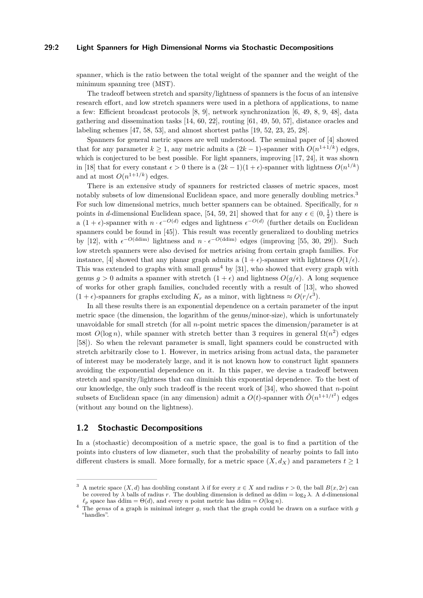#### **29:2 Light Spanners for High Dimensional Norms via Stochastic Decompositions**

spanner, which is the ratio between the total weight of the spanner and the weight of the minimum spanning tree (MST).

The tradeoff between stretch and sparsity/lightness of spanners is the focus of an intensive research effort, and low stretch spanners were used in a plethora of applications, to name a few: Efficient broadcast protocols [\[8,](#page-11-0) [9\]](#page-12-0), network synchronization [\[6,](#page-11-1) [49,](#page-14-1) [8,](#page-11-0) [9,](#page-12-0) [48\]](#page-14-2), data gathering and dissemination tasks [\[14,](#page-12-1) [60,](#page-14-3) [22\]](#page-12-2), routing [\[61,](#page-14-4) [49,](#page-14-1) [50,](#page-14-5) [57\]](#page-14-6), distance oracles and labeling schemes [\[47,](#page-13-0) [58,](#page-14-7) [53\]](#page-14-8), and almost shortest paths [\[19,](#page-12-3) [52,](#page-14-9) [23,](#page-12-4) [25,](#page-12-5) [28\]](#page-13-1).

Spanners for general metric spaces are well understood. The seminal paper of [\[4\]](#page-11-2) showed that for any parameter  $k \geq 1$ , any metric admits a  $(2k-1)$ -spanner with  $O(n^{1+1/k})$  edges, which is conjectured to be best possible. For light spanners, improving [\[17,](#page-12-6) [24\]](#page-12-7), it was shown in [\[18\]](#page-12-8) that for every constant  $\epsilon > 0$  there is a  $(2k-1)(1+\epsilon)$ -spanner with lightness  $O(n^{1/k})$ and at most  $O(n^{1+1/k})$  edges.

There is an extensive study of spanners for restricted classes of metric spaces, most notably subsets of low dimensional Euclidean space, and more generally doubling metrics.<sup>[3](#page-1-0)</sup> For such low dimensional metrics, much better spanners can be obtained. Specifically, for *n* points in *d*-dimensional Euclidean space, [\[54,](#page-14-10) [59,](#page-14-11) [21\]](#page-12-9) showed that for any  $\epsilon \in (0, \frac{1}{2})$  there is a  $(1 + \epsilon)$ -spanner with  $n \cdot \epsilon^{-O(d)}$  edges and lightness  $\epsilon^{-O(d)}$  (further details on Euclidean spanners could be found in [\[45\]](#page-13-2)). This result was recently generalized to doubling metrics by [\[12\]](#page-12-10), with  $\epsilon^{-O(\text{ddim})}$  lightness and  $n \cdot \epsilon^{-O(\text{ddim})}$  edges (improving [\[55,](#page-14-12) [30,](#page-13-3) [29\]](#page-13-4)). Such low stretch spanners were also devised for metrics arising from certain graph families. For instance, [\[4\]](#page-11-2) showed that any planar graph admits a  $(1 + \epsilon)$ -spanner with lightness  $O(1/\epsilon)$ . This was extended to graphs with small genus<sup>[4](#page-1-1)</sup> by [\[31\]](#page-13-5), who showed that every graph with genus  $g > 0$  admits a spanner with stretch  $(1 + \epsilon)$  and lightness  $O(g/\epsilon)$ . A long sequence of works for other graph families, concluded recently with a result of [\[13\]](#page-12-11), who showed  $(1 + \epsilon)$ -spanners for graphs excluding  $K_r$  as a minor, with lightness  $\approx O(r/\epsilon^3)$ .

In all these results there is an exponential dependence on a certain parameter of the input metric space (the dimension, the logarithm of the genus/minor-size), which is unfortunately unavoidable for small stretch (for all *n*-point metric spaces the dimension/parameter is at most  $O(\log n)$ , while spanner with stretch better than 3 requires in general  $\Omega(n^2)$  edges [\[58\]](#page-14-7)). So when the relevant parameter is small, light spanners could be constructed with stretch arbitrarily close to 1. However, in metrics arising from actual data, the parameter of interest may be moderately large, and it is not known how to construct light spanners avoiding the exponential dependence on it. In this paper, we devise a tradeoff between stretch and sparsity/lightness that can diminish this exponential dependence. To the best of our knowledge, the only such tradeoff is the recent work of [\[34\]](#page-13-6), who showed that *n*-point subsets of Euclidean space (in any dimension) admit a  $O(t)$ -spanner with  $\tilde{O}(n^{1+1/t^2})$  edges (without any bound on the lightness).

#### **1.2 Stochastic Decompositions**

In a (stochastic) decomposition of a metric space, the goal is to find a partition of the points into clusters of low diameter, such that the probability of nearby points to fall into different clusters is small. More formally, for a metric space  $(X, d_X)$  and parameters  $t \geq 1$ 

<span id="page-1-0"></span>A metric space  $(X, d)$  has doubling constant  $\lambda$  if for every  $x \in X$  and radius  $r > 0$ , the ball  $B(x, 2r)$  can be covered by  $\lambda$  balls of radius *r*. The doubling dimension is defined as ddim = log<sub>2</sub>  $\lambda$ . A *d*-dimensional  $\ell_p$  space has ddim =  $\Theta(d)$ , and every *n* point metric has ddim =  $O(\log n)$ .

<span id="page-1-1"></span><sup>4</sup> The *genus* of a graph is minimal integer *g*, such that the graph could be drawn on a surface with *g* "handles".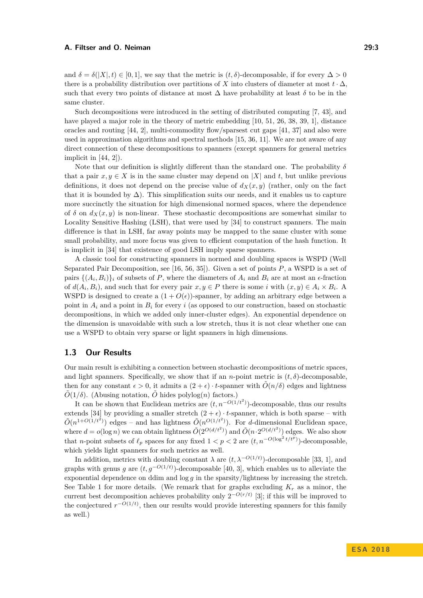and  $\delta = \delta(|X|, t) \in [0, 1]$ , we say that the metric is  $(t, \delta)$ -decomposable, if for every  $\Delta > 0$ there is a probability distribution over partitions of *X* into clusters of diameter at most  $t \cdot \Delta$ . such that every two points of distance at most  $\Delta$  have probability at least  $\delta$  to be in the same cluster.

Such decompositions were introduced in the setting of distributed computing [\[7,](#page-11-3) [43\]](#page-13-7), and have played a major role in the theory of metric embedding [\[10,](#page-12-12) [51,](#page-14-13) [26,](#page-12-13) [38,](#page-13-8) [39,](#page-13-9) [1\]](#page-11-4), distance oracles and routing [\[44,](#page-13-10) [2\]](#page-11-5), multi-commodity flow/sparsest cut gaps [\[41,](#page-13-11) [37\]](#page-13-12) and also were used in approximation algorithms and spectral methods [\[15,](#page-12-14) [36,](#page-13-13) [11\]](#page-12-15). We are not aware of any direct connection of these decompositions to spanners (except spanners for general metrics implicit in  $[44, 2]$  $[44, 2]$ .

Note that our definition is slightly different than the standard one. The probability *δ* that a pair  $x, y \in X$  is in the same cluster may depend on |X| and t, but unlike previous definitions, it does not depend on the precise value of  $d_X(x, y)$  (rather, only on the fact that it is bounded by  $\Delta$ ). This simplification suits our needs, and it enables us to capture more succinctly the situation for high dimensional normed spaces, where the dependence of  $\delta$  on  $d_X(x, y)$  is non-linear. These stochastic decompositions are somewhat similar to Locality Sensitive Hashing (LSH), that were used by [\[34\]](#page-13-6) to construct spanners. The main difference is that in LSH, far away points may be mapped to the same cluster with some small probability, and more focus was given to efficient computation of the hash function. It is implicit in [\[34\]](#page-13-6) that existence of good LSH imply sparse spanners.

A classic tool for constructing spanners in normed and doubling spaces is WSPD (Well Separated Pair Decomposition, see [\[16,](#page-12-16) [56,](#page-14-14) [35\]](#page-13-14)). Given a set of points *P*, a WSPD is a set of pairs  $\{(A_i, B_i)\}_i$  of subsets of *P*, where the diameters of  $A_i$  and  $B_i$  are at most an  $\epsilon$ -fraction of  $d(A_i, B_i)$ , and such that for every pair  $x, y \in P$  there is some *i* with  $(x, y) \in A_i \times B_i$ . WSPD is designed to create a  $(1 + O(\epsilon))$ -spanner, by adding an arbitrary edge between a point in  $A_i$  and a point in  $B_i$  for every *i* (as opposed to our construction, based on stochastic decompositions, in which we added only inner-cluster edges). An exponential dependence on the dimension is unavoidable with such a low stretch, thus it is not clear whether one can use a WSPD to obtain very sparse or light spanners in high dimensions.

# **1.3 Our Results**

Our main result is exhibiting a connection between stochastic decompositions of metric spaces, and light spanners. Specifically, we show that if an *n*-point metric is  $(t, \delta)$ -decomposable. then for any constant  $\epsilon > 0$ , it admits a  $(2 + \epsilon) \cdot t$ -spanner with  $\tilde{O}(n/\delta)$  edges and lightness  $\tilde{O}(1/\delta)$ . (Abusing notation,  $\tilde{O}$  hides polylog(*n*) factors.)

It can be shown that Euclidean metrics are  $(t, n^{-O(1/t^2)})$ -decomposable, thus our results extends [\[34\]](#page-13-6) by providing a smaller stretch  $(2 + \epsilon) \cdot t$ -spanner, which is both sparse – with  $\tilde{O}(n^{1+O(1/t^2)})$  edges – and has lightness  $\tilde{O}(n^{O(1/t^2)})$ . For *d*-dimensional Euclidean space, where  $d = o(\log n)$  we can obtain lightness  $\tilde{O}(2^{O(d/t^2)})$  and  $\tilde{O}(n \cdot 2^{O(d/t^2)})$  edges. We also show that *n*-point subsets of  $\ell_p$  spaces for any fixed  $1 < p < 2$  are  $(t, n^{-O(\log^2 t / t^p)})$ -decomposable, which yields light spanners for such metrics as well.

In addition, metrics with doubling constant  $\lambda$  are  $(t, \lambda^{-O(1/t)})$ -decomposable [\[33,](#page-13-15) [1\]](#page-11-4), and graphs with genus *g* are  $(t, g^{-O(1/t)})$ -decomposable [\[40,](#page-13-16) [3\]](#page-11-6), which enables us to alleviate the exponential dependence on ddim and log *g* in the sparsity/lightness by increasing the stretch. See [Table 1](#page-3-0) for more details. (We remark that for graphs excluding  $K_r$  as a minor, the current best decomposition achieves probability only  $2^{-O(r/t)}$  [\[3\]](#page-11-6); if this will be improved to the conjectured  $r^{-O(1/t)}$ , then our results would provide interesting spanners for this family as well.)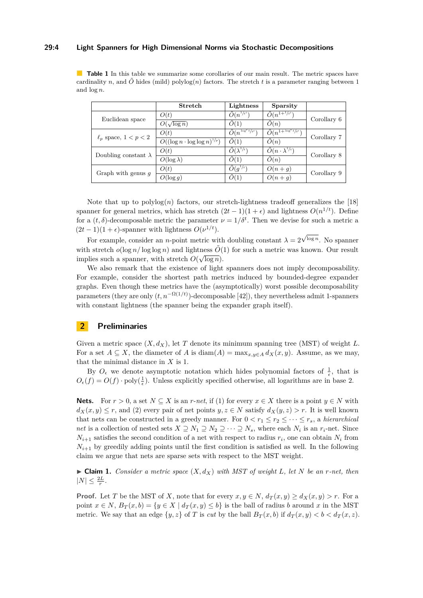#### **29:4 Light Spanners for High Dimensional Norms via Stochastic Decompositions**

<span id="page-3-0"></span>**Table 1** In this table we summarize some corollaries of our main result. The metric spaces have cardinality *n*, and  $\tilde{O}$  hides (mild) polylog(*n*) factors. The stretch *t* is a parameter ranging between 1 and log *n*.

|                             | Stretch                               | Lightness                             | Sparsity                                |             |
|-----------------------------|---------------------------------------|---------------------------------------|-----------------------------------------|-------------|
| Euclidean space             | O(t)                                  | $\tilde{O}(n^{1/t^2})$                | $\tilde{O}(n^{1+1/t^2})$                | Corollary 6 |
|                             | $O(\sqrt{\log n})$                    | O(1)                                  | O(n)                                    |             |
| $\ell_p$ space, $1 < p < 2$ | O(t)                                  | $\tilde{O}(n^{\frac{\log^2 t}{t^p}})$ | $\tilde{O}(n^{1+\frac{\log^2 t}{t^p}})$ | Corollary 7 |
|                             | $O((\log n \cdot \log \log n)^{1/p})$ | $\tilde{O}(1)$                        | O(n)                                    |             |
| Doubling constant $\lambda$ | O(t)                                  | $\tilde{O}(\lambda^{1/\overline{t}})$ | $\tilde{O}(n \cdot \lambda^{1/t})$      | Corollary 8 |
|                             | $O(\log \lambda)$                     | O(1)                                  | O(n)                                    |             |
| Graph with genus $q$        | O(t)                                  | $\tilde{O}(q^{1/t})$                  | $O(n+q)$                                | Corollary 9 |
|                             | $O(\log g)$                           | O(1)                                  | $O(n+q)$                                |             |

Note that up to  $\text{polylog}(n)$  factors, our stretch-lightness tradeoff generalizes the [\[18\]](#page-12-8) spanner for general metrics, which has stretch  $(2t-1)(1+\epsilon)$  and lightness  $O(n^{1/t})$ . Define for a  $(t, \delta)$ -decomposable metric the parameter  $\nu = 1/\delta^t$ . Then we devise for such a metric a  $(2t-1)(1+\epsilon)$ -spanner with lightness  $O(\nu^{1/t})$ .

For example, consider an *n*-point metric with doubling constant  $\lambda = 2$ √ log *n* . No spanner with stretch  $o(\log n/\log \log n)$  and lightness  $\tilde{O}(1)$  for such a metric was known. Our result implies such a spanner, with stretch  $O(\sqrt{\log n})$ .

We also remark that the existence of light spanners does not imply decomposability. For example, consider the shortest path metrics induced by bounded-degree expander graphs. Even though these metrics have the (asymptotically) worst possible decomposability parameters (they are only  $(t, n^{-\Omega(1/t)})$ -decomposable [\[42\]](#page-13-17)), they nevertheless admit 1-spanners with constant lightness (the spanner being the expander graph itself).

## **2 Preliminaries**

Given a metric space  $(X, d_X)$ , let *T* denote its minimum spanning tree (MST) of weight *L*. For a set  $A \subseteq X$ , the diameter of *A* is diam( $A$ ) = max<sub>*x*,y∈*A*</sub>  $d_X(x, y)$ . Assume, as we may, that the minimal distance in *X* is 1.

By  $O_{\epsilon}$  we denote asymptotic notation which hides polynomial factors of  $\frac{1}{\epsilon}$ , that is  $O_{\epsilon}(f) = O(f) \cdot \text{poly}(\frac{1}{\epsilon})$ . Unless explicitly specified otherwise, all logarithms are in base 2.

**Nets.** For  $r > 0$ , a set  $N \subseteq X$  is an *r*-*net*, if (1) for every  $x \in X$  there is a point  $y \in N$  with  $d_X(x, y) \leq r$ , and (2) every pair of net points  $y, z \in N$  satisfy  $d_X(y, z) > r$ . It is well known that nets can be constructed in a greedy manner. For  $0 < r_1 \le r_2 \le \cdots \le r_s$ , a *hierarchical net* is a collection of nested sets  $X \supseteq N_1 \supseteq N_2 \supseteq \cdots \supseteq N_s$ , where each  $N_i$  is an  $r_i$ -net. Since  $N_{i+1}$  satisfies the second condition of a net with respect to radius  $r_i$ , one can obtain  $N_i$  from  $N_{i+1}$  by greedily adding points until the first condition is satisfied as well. In the following claim we argue that nets are sparse sets with respect to the MST weight.

<span id="page-3-1"></span> $\triangleright$  **Claim 1.** *Consider a metric space*  $(X, d_X)$  *with MST of weight L, let N be an r-net, then*  $|N| \leq \frac{2L}{r}$ .

**Proof.** Let *T* be the MST of *X*, note that for every  $x, y \in N$ ,  $d_T(x, y) > d_X(x, y) > r$ . For a point  $x \in N$ ,  $B_T(x, b) = \{y \in X \mid d_T(x, y) \leq b\}$  is the ball of radius *b* around *x* in the MST metric. We say that an edge  $\{y, z\}$  of *T* is *cut* by the ball  $B_T(x, b)$  if  $d_T(x, y) < b < d_T(x, z)$ .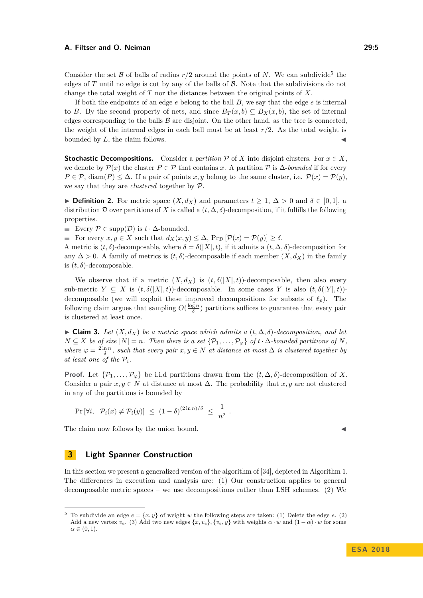Consider the set  $\beta$  of balls of radius  $r/2$  around the points of *N*. We can subdivide<sup>[5](#page-4-0)</sup> the edges of *T* until no edge is cut by any of the balls of  $\beta$ . Note that the subdivisions do not change the total weight of *T* nor the distances between the original points of *X*.

If both the endpoints of an edge *e* belong to the ball *B*, we say that the edge *e* is internal to *B*. By the second property of nets, and since  $B_T(x, b) \subseteq B_X(x, b)$ , the set of internal edges corresponding to the balls  $\beta$  are disjoint. On the other hand, as the tree is connected, the weight of the internal edges in each ball must be at least *r/*2. As the total weight is bounded by *L*, the claim follows.

**Stochastic Decompositions.** Consider a *partition*  $\mathcal{P}$  of  $X$  into disjoint clusters. For  $x \in X$ , we denote by  $\mathcal{P}(x)$  the cluster  $P \in \mathcal{P}$  that contains x. A partition  $\mathcal{P}$  is  $\Delta$ -*bounded* if for every  $P \in \mathcal{P}$ , diam(*P*)  $\leq \Delta$ . If a pair of points *x*, *y* belong to the same cluster, i.e.  $\mathcal{P}(x) = \mathcal{P}(y)$ . we say that they are *clustered* together by P.

**► Definition 2.** For metric space  $(X, d_X)$  and parameters  $t \geq 1$ ,  $\Delta > 0$  and  $\delta \in [0, 1]$ , a distribution D over partitions of X is called a  $(t, \Delta, \delta)$ -decomposition, if it fulfills the following properties.

Every P ∈ supp(D) is *t* · ∆-bounded.

For every  $x, y \in X$  such that  $d_X(x, y) \leq \Delta$ ,  $\Pr_{\mathcal{D}}[\mathcal{P}(x) = \mathcal{P}(y)] \geq \delta$ .

A metric is  $(t, \delta)$ -decomposable, where  $\delta = \delta(|X|, t)$ , if it admits a  $(t, \Delta, \delta)$ -decomposition for any  $\Delta > 0$ . A family of metrics is  $(t, \delta)$ -decomposable if each member  $(X, d_X)$  in the family is  $(t, \delta)$ -decomposable.

We observe that if a metric  $(X, d_X)$  is  $(t, \delta(|X|, t))$ -decomposable, then also every sub-metric  $Y \subseteq X$  is  $(t, \delta(|X|, t))$ -decomposable. In some cases *Y* is also  $(t, \delta(|Y|, t))$ decomposable (we will exploit these improved decompositions for subsets of  $\ell_p$ ). The following claim argues that sampling  $O(\frac{\log n}{\delta})$  partitions suffices to guarantee that every pair is clustered at least once.

<span id="page-4-1"></span> $\triangleright$  **Claim 3.** *Let* (*X, d<sub>X</sub>*) *be a metric space which admits a (t,*  $\Delta$ *,*  $\delta$ *)-decomposition, and let*  $N \subseteq X$  *be of size*  $|N| = n$ *. Then there is a set*  $\{P_1, \ldots, P_\varphi\}$  *of*  $t \cdot \Delta$ *-bounded partitions of*  $N$ *, where*  $\varphi = \frac{2 \ln n}{\delta}$ , such that every pair  $x, y \in N$  at distance at most  $\Delta$  *is clustered together by* at least one of the  $P_i$ .

**Proof.** Let  $\{\mathcal{P}_1, \ldots, \mathcal{P}_{\varphi}\}\$  be i.i.d partitions drawn from the  $(t, \Delta, \delta)$ -decomposition of *X*. Consider a pair  $x, y \in N$  at distance at most  $\Delta$ . The probability that  $x, y$  are not clustered in any of the partitions is bounded by

$$
\Pr\left[\forall i,\ \mathcal{P}_i(x) \neq \mathcal{P}_i(y)\right] \leq (1-\delta)^{(2\ln n)/\delta} \leq \frac{1}{n^2}.
$$

The claim now follows by the union bound.

# **3 Light Spanner Construction**

In this section we present a generalized version of the algorithm of [\[34\]](#page-13-6), depicted in [Algorithm 1.](#page-5-0) The differences in execution and analysis are: (1) Our construction applies to general decomposable metric spaces – we use decompositions rather than LSH schemes. (2) We

<span id="page-4-0"></span><sup>&</sup>lt;sup>5</sup> To subdivide an edge  $e = \{x, y\}$  of weight *w* the following steps are taken: (1) Delete the edge *e*. (2) Add a new vertex  $v_e$ . (3) Add two new edges  $\{x, v_e\}, \{v_e, y\}$  with weights  $\alpha \cdot w$  and  $(1 - \alpha) \cdot w$  for some  $\alpha \in (0,1)$ .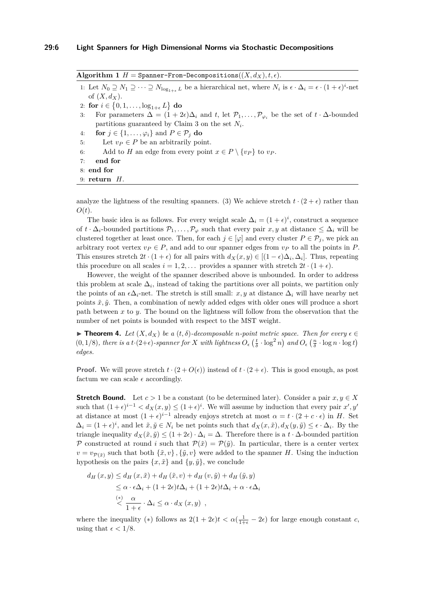<span id="page-5-0"></span>Algorithm 1  $H =$  Spanner-From-Decompositions  $((X, d_X), t, \epsilon)$ .

<span id="page-5-3"></span>1: Let  $N_0 \supseteq N_1 \supseteq \cdots \supseteq N_{\log_{1+\epsilon} L}$  be a hierarchical net, where  $N_i$  is  $\epsilon \cdot \Delta_i = \epsilon \cdot (1+\epsilon)^i$ -net of  $(X, d_X)$ .

2: for  $i \in \{0, 1, \ldots, \log_{1+\epsilon} L\}$  do

<span id="page-5-4"></span>3: For parameters  $\Delta = (1 + 2\epsilon)\Delta_i$  and *t*, let  $\mathcal{P}_1, \ldots, \mathcal{P}_{\varphi_i}$  be the set of  $t \cdot \Delta$ -bounded partitions guaranteed by [Claim 3](#page-4-1) on the set *N<sup>i</sup>* .

<span id="page-5-5"></span>4: **for**  $j \in \{1, \ldots, \varphi_i\}$  and  $P \in \mathcal{P}_i$  **do** 

<span id="page-5-1"></span>5: Let  $v_P \in P$  be an arbitrarily point.

6: Add to *H* an edge from every point  $x \in P \setminus \{v_P\}$  to  $v_P$ .

7: **end for**

8: **end for**

9: **return** *H*.

analyze the lightness of the resulting spanners. (3) We achieve stretch  $t \cdot (2 + \epsilon)$  rather than *O*(*t*).

The basic idea is as follows. For every weight scale  $\Delta_i = (1 + \epsilon)^i$ , construct a sequence of  $t \cdot \Delta_i$ -bounded partitions  $\mathcal{P}_1, \ldots, \mathcal{P}_\varphi$  such that every pair  $x, y$  at distance  $\leq \Delta_i$  will be clustered together at least once. Then, for each  $j \in [\varphi]$  and every cluster  $P \in \mathcal{P}_i$ , we pick an arbitrary root vertex  $v_P \in P$ , and add to our spanner edges from  $v_P$  to all the points in  $P$ . This ensures stretch  $2t \cdot (1 + \epsilon)$  for all pairs with  $d_X(x, y) \in [(1 - \epsilon)\Delta_i, \Delta_i]$ . Thus, repeating this procedure on all scales  $i = 1, 2, \ldots$  provides a spanner with stretch  $2t \cdot (1 + \epsilon)$ .

However, the weight of the spanner described above is unbounded. In order to address this problem at scale  $\Delta_i$ , instead of taking the partitions over all points, we partition only the points of an  $\epsilon \Delta_i$ -net. The stretch is still small: *x*, *y* at distance  $\Delta_i$  will have nearby net points  $\tilde{x}, \tilde{y}$ . Then, a combination of newly added edges with older ones will produce a short path between *x* to *y*. The bound on the lightness will follow from the observation that the number of net points is bounded with respect to the MST weight.

<span id="page-5-2"></span>**► Theorem 4.** Let  $(X, d_X)$  be a  $(t, \delta)$ -decomposable *n*-point metric space. Then for every  $\epsilon \in$  $(0,1/8)$ , there is a  $t \cdot (2+\epsilon)$ -spanner for X with lightness  $O_{\epsilon}$   $(\frac{t}{\delta} \cdot \log^2 n)$  and  $O_{\epsilon}$   $(\frac{n}{\delta} \cdot \log n \cdot \log t)$ *edges.*

**Proof.** We will prove stretch  $t \cdot (2 + O(\epsilon))$  instead of  $t \cdot (2 + \epsilon)$ . This is good enough, as post factum we can scale  $\epsilon$  accordingly.

**Stretch Bound.** Let  $c > 1$  be a constant (to be determined later). Consider a pair  $x, y \in X$ such that  $(1+\epsilon)^{i-1} < d_X(x,y) \le (1+\epsilon)^i$ . We will assume by induction that every pair  $x', y'$ at distance at most  $(1+\epsilon)^{i-1}$  already enjoys stretch at most  $\alpha = t \cdot (2+c \cdot \epsilon)$  in *H*. Set  $\Delta_i = (1 + \epsilon)^i$ , and let  $\tilde{x}, \tilde{y} \in N_i$  be net points such that  $d_X(x, \tilde{x}), d_X(y, \tilde{y}) \leq \epsilon \cdot \Delta_i$ . By the triangle inequality  $d_X(\tilde{x}, \tilde{y}) \leq (1 + 2\epsilon) \cdot \Delta_i = \Delta$ . Therefore there is a  $t \cdot \Delta$ -bounded partition P constructed at round *i* such that  $\mathcal{P}(\tilde{x}) = \mathcal{P}(\tilde{y})$ . In particular, there is a center vertex  $v = v_{\mathcal{P}(\tilde{x})}$  such that both  $\{\tilde{x}, v\}$ ,  $\{\tilde{y}, v\}$  were added to the spanner *H*. Using the induction hypothesis on the pairs  $\{x, \tilde{x}\}\$  and  $\{y, \tilde{y}\}\$ , we conclude

$$
d_H(x, y) \le d_H(x, \tilde{x}) + d_H(\tilde{x}, v) + d_H(v, \tilde{y}) + d_H(\tilde{y}, y)
$$
  
\n
$$
\le \alpha \cdot \epsilon \Delta_i + (1 + 2\epsilon)t\Delta_i + (1 + 2\epsilon)t\Delta_i + \alpha \cdot \epsilon \Delta_i
$$
  
\n
$$
\le \frac{\alpha}{1 + \epsilon} \cdot \Delta_i \le \alpha \cdot d_X(x, y) ,
$$

where the inequality (\*) follows as  $2(1+2\epsilon)t < \alpha(\frac{1}{1+\epsilon} - 2\epsilon)$  for large enough constant *c*, using that  $\epsilon < 1/8$ .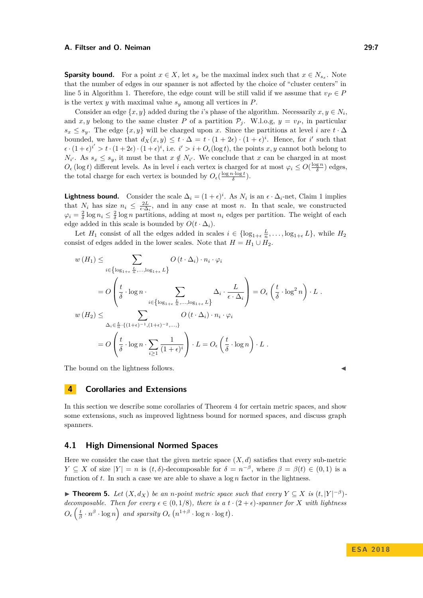**Sparsity bound.** For a point  $x \in X$ , let  $s_x$  be the maximal index such that  $x \in N_{s_x}$ . Note that the number of edges in our spanner is not affected by the choice of "cluster centers" in line [5](#page-5-1) in [Algorithm 1.](#page-5-0) Therefore, the edge count will be still valid if we assume that  $v_P \in P$ is the vertex *y* with maximal value *s<sup>y</sup>* among all vertices in *P*.

Consider an edge  $\{x, y\}$  added during the *i*'s phase of the algorithm. Necessarily  $x, y \in N_i$ , and x, y belong to the same cluster P of a partition  $P_j$ . W.l.o.g,  $y = v_P$ , in particular  $s_x \leq s_y$ . The edge  $\{x, y\}$  will be charged upon *x*. Since the partitions at level *i* are  $t \cdot \Delta$ bounded, we have that  $d_X(x, y) \leq t \cdot \Delta = t \cdot (1 + 2\epsilon) \cdot (1 + \epsilon)^i$ . Hence, for *i*' such that  $\epsilon \cdot (1+\epsilon)^{i'} > t \cdot (1+2\epsilon) \cdot (1+\epsilon)^i$ , i.e.  $i' > i + O_{\epsilon}(\log t)$ , the points *x*, *y* cannot both belong to *N*<sup>*i*</sup>. As  $s_x \leq s_y$ , it must be that  $x \notin N_i$ . We conclude that *x* can be charged in at most  $O_{\epsilon}(\log t)$  different levels. As in level *i* each vertex is charged for at most  $\varphi_i \leq O(\frac{\log n}{\delta})$  edges, the total charge for each vertex is bounded by  $O_{\epsilon}(\frac{\log n \cdot \log t}{\delta})$ .

**Lightness bound.** Consider the scale  $\Delta_i = (1 + \epsilon)^i$ . As  $N_i$  is an  $\epsilon \cdot \Delta_i$ -net, [Claim 1](#page-3-1) implies that  $N_i$  has size  $n_i \leq \frac{2L}{\epsilon \cdot \Delta_i}$ , and in any case at most *n*. In that scale, we constructed  $\varphi_i = \frac{2}{\delta} \log n_i \leq \frac{2}{\delta} \log n$  partitions, adding at most  $n_i$  edges per partition. The weight of each edge added in this scale is bounded by  $O(t \cdot \Delta_i)$ .

Let  $H_1$  consist of all the edges added in scales  $i \in \{\log_{1+\epsilon} \frac{L}{n}, \ldots, \log_{1+\epsilon} L\}$ , while  $H_2$ consist of edges added in the lower scales. Note that  $H = H_1 \cup H_2$ .

$$
w(H_1) \leq \sum_{i \in \left\{ \log_{1+\epsilon} \frac{L}{n}, \dots, \log_{1+\epsilon} L \right\}} O(t \cdot \Delta_i) \cdot n_i \cdot \varphi_i
$$
  
\n
$$
= O\left(\frac{t}{\delta} \cdot \log n \cdot \sum_{i \in \left\{ \log_{1+\epsilon} \frac{L}{n}, \dots, \log_{1+\epsilon} L \right\}} \Delta_i \cdot \frac{L}{\epsilon \cdot \Delta_i}\right) = O_{\epsilon}\left(\frac{t}{\delta} \cdot \log^2 n\right) \cdot L.
$$
  
\n
$$
w(H_2) \leq \sum_{\Delta_i \in \frac{L}{n} \cdot \{(1+\epsilon)^{-1}, (1+\epsilon)^{-2}, \dots, \}} O(t \cdot \Delta_i) \cdot n_i \cdot \varphi_i
$$
  
\n
$$
= O\left(\frac{t}{\delta} \cdot \log n \cdot \sum_{i \geq 1} \frac{1}{(1+\epsilon)^i}\right) \cdot L = O_{\epsilon}\left(\frac{t}{\delta} \cdot \log n\right) \cdot L.
$$

The bound on the lightness follows.

## **4 Corollaries and Extensions**

In this section we describe some corollaries of [Theorem 4](#page-5-2) for certain metric spaces, and show some extensions, such as improved lightness bound for normed spaces, and discuss graph spanners.

### **4.1 High Dimensional Normed Spaces**

Here we consider the case that the given metric space  $(X, d)$  satisfies that every sub-metric *Y*  $\subseteq$  *X* of size  $|Y| = n$  is  $(t, \delta)$ -decomposable for  $\delta = n^{-\beta}$ , where  $\beta = \beta(t) \in (0, 1)$  is a function of *t*. In such a case we are able to shave a log *n* factor in the lightness.

<span id="page-6-0"></span>▶ **Theorem 5.** Let  $(X, d_X)$  be an *n-point metric space such that every*  $Y \subseteq X$  *is*  $(t, |Y|^{-\beta})$ *decomposable. Then for every*  $\epsilon \in (0, 1/8)$ *, there is a t* ·  $(2 + \epsilon)$ *-spanner for X with lightness*  $O_{\epsilon} \left( \frac{t}{\beta} \cdot n^{\beta} \cdot \log n \right)$  and sparsity  $O_{\epsilon} \left( n^{1+\beta} \cdot \log n \cdot \log t \right)$ .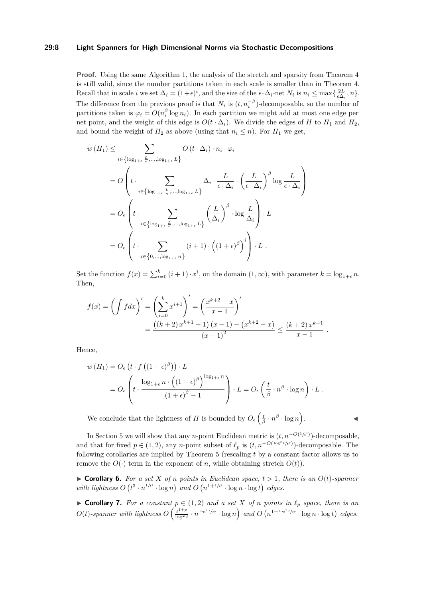#### **29:8 Light Spanners for High Dimensional Norms via Stochastic Decompositions**

**Proof.** Using the same [Algorithm 1,](#page-5-0) the analysis of the stretch and sparsity from [Theorem 4](#page-5-2) is still valid, since the number partitions taken in each scale is smaller than in [Theorem 4.](#page-5-2) Recall that in scale *i* we set  $\Delta_i = (1+\epsilon)^i$ , and the size of the  $\epsilon \cdot \Delta_i$ -net  $N_i$  is  $n_i \le \max\{\frac{2L}{\epsilon \Delta_i}, n\}$ . The difference from the previous proof is that  $N_i$  is  $(t, n_i^{-\beta})$ -decomposable, so the number of partitions taken is  $\varphi_i = O(n_i^{\beta} \log n_i)$ . In each partition we might add at most one edge per net point, and the weight of this edge is  $O(t \cdot \Delta_i)$ . We divide the edges of *H* to  $H_1$  and  $H_2$ , and bound the weight of  $H_2$  as above (using that  $n_i \leq n$ ). For  $H_1$  we get,

$$
w(H_1) \leq \sum_{i \in \left\{ \log_{1+\epsilon} \frac{L}{n}, \dots, \log_{1+\epsilon} L \right\}} O(t \cdot \Delta_i) \cdot n_i \cdot \varphi_i
$$
  
=  $O\left(t \cdot \sum_{i \in \left\{ \log_{1+\epsilon} \frac{L}{n}, \dots, \log_{1+\epsilon} L \right\}} \Delta_i \cdot \frac{L}{\epsilon \cdot \Delta_i} \cdot \left(\frac{L}{\epsilon \cdot \Delta_i}\right)^{\beta} \log \frac{L}{\epsilon \cdot \Delta_i}\right)$   
=  $O_{\epsilon}\left(t \cdot \sum_{i \in \left\{ \log_{1+\epsilon} \frac{L}{n}, \dots, \log_{1+\epsilon} L \right\}} \left(\frac{L}{\Delta_i}\right)^{\beta} \cdot \log \frac{L}{\Delta_i}\right) \cdot L$   
=  $O_{\epsilon}\left(t \cdot \sum_{i \in \left\{0, \dots, \log_{1+\epsilon} n\right\}} (i+1) \cdot \left((1+\epsilon)^{\beta}\right)^i\right) \cdot L.$ 

Set the function  $f(x) = \sum_{i=0}^{k} (i+1) \cdot x^{i}$ , on the domain  $(1, \infty)$ , with parameter  $k = \log_{1+\epsilon} n$ . Then,

$$
f(x) = \left(\int f dx\right)' = \left(\sum_{i=0}^{k} x^{i+1}\right)' = \left(\frac{x^{k+2} - x}{x - 1}\right)'
$$
  
= 
$$
\frac{((k+2) x^{k+1} - 1) (x - 1) - (x^{k+2} - x)}{(x - 1)^2} \le \frac{(k+2) x^{k+1}}{x - 1}.
$$

Hence,

$$
w(H_1) = O_{\epsilon} \left( t \cdot f \left( (1 + \epsilon)^{\beta} \right) \right) \cdot L
$$
  
= 
$$
O_{\epsilon} \left( t \cdot \frac{\log_{1+\epsilon} n \cdot \left( (1 + \epsilon)^{\beta} \right)^{\log_{1+\epsilon} n}}{(1 + \epsilon)^{\beta} - 1} \right) \cdot L = O_{\epsilon} \left( \frac{t}{\beta} \cdot n^{\beta} \cdot \log n \right) \cdot L.
$$

We conclude that the lightness of *H* is bounded by  $O_{\epsilon} \left( \frac{t}{\beta} \cdot n^{\beta} \cdot \log n \right)$ 

 $\mathcal{L}$  and  $\mathcal{L}$ 

In [Section 5](#page-9-0) we will show that any *n*-point Euclidean metric is  $(t, n^{-O(1/t^2)})$ -decomposable, and that for fixed  $p \in (1, 2)$ , any *n*-point subset of  $\ell_p$  is  $(t, n^{-O(\log^2 t / t^p)})$ -decomposable. The following corollaries are implied by [Theorem 5](#page-6-0) (rescaling *t* by a constant factor allows us to remove the  $O(\cdot)$  term in the exponent of *n*, while obtaining stretch  $O(t)$ ).

<span id="page-7-0"></span> $\triangleright$  **Corollary 6.** For a set *X* of *n* points in Euclidean space,  $t > 1$ , there is an  $O(t)$ -spanner with lightness  $O(t^3 \cdot n^{1/t^2} \cdot \log n)$  and  $O(n^{1+1/t^2} \cdot \log n \cdot \log t)$  edges.

<span id="page-7-1"></span>▶ **Corollary 7.** For a constant  $p \in (1,2)$  and a set  $X$  of  $n$  points in  $\ell_p$  space, there is an  $O(t)$ -spanner with lightness  $O\left(\frac{t^{1+p}}{\log^2 t}\right)$  $\frac{t^{1+p}}{\log^2 t} \cdot n^{\log^2 t / t^p} \cdot \log n$  and  $O(n^{1+\log^2 t / t^p} \cdot \log n \cdot \log t)$  edges.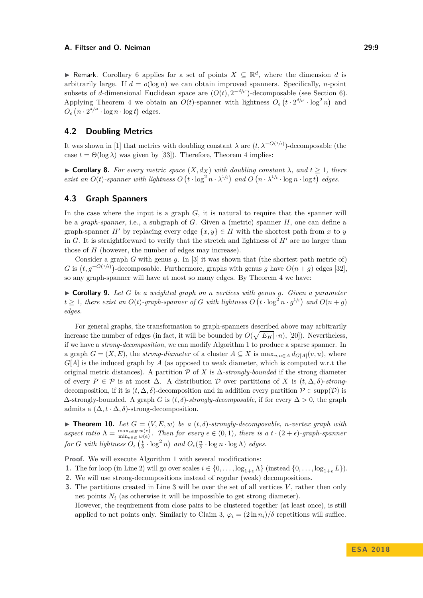▶ Remark. [Corollary 6](#page-7-0) applies for a set of points  $X \subseteq \mathbb{R}^d$ , where the dimension *d* is arbitrarily large. If  $d = o(\log n)$  we can obtain improved spanners. Specifically, *n*-point subsets of *d*-dimensional Euclidean space are  $(O(t), 2^{-d/t^2})$ -decomposable (see [Section 6\)](#page-10-0). Applying [Theorem 4](#page-5-2) we obtain an  $O(t)$ -spanner with lightness  $O_{\epsilon}$   $(t \cdot 2^{d/t^2} \cdot \log^2 n)$  and  $O_{\epsilon}$   $(n \cdot 2^{d/t^2} \cdot \log n \cdot \log t)$  edges.

## **4.2 Doubling Metrics**

It was shown in [\[1\]](#page-11-4) that metrics with doubling constant  $\lambda$  are  $(t, \lambda^{-O(1/t)})$ -decomposable (the case  $t = \Theta(\log \lambda)$  was given by [\[33\]](#page-13-15)). Therefore, [Theorem 4](#page-5-2) implies:

<span id="page-8-0"></span> $\triangleright$  **Corollary 8.** *For every metric space* (*X, d<sub>X</sub>*) *with doubling constant λ, and t* ≥ 1*, there* exist an  $O(t)$ -spanner with lightness  $O(t \cdot \log^2 n \cdot \lambda^{1/t})$  and  $O(n \cdot \lambda^{1/t} \cdot \log n \cdot \log t)$  edges.

# **4.3 Graph Spanners**

In the case where the input is a graph *G*, it is natural to require that the spanner will be a *graph-spanner*, i.e., a subgraph of *G*. Given a (metric) spanner *H*, one can define a graph-spanner *H'* by replacing every edge  $\{x, y\} \in H$  with the shortest path from *x* to *y* in *G*. It is straightforward to verify that the stretch and lightness of  $H'$  are no larger than those of *H* (however, the number of edges may increase).

Consider a graph *G* with genus *g*. In [\[3\]](#page-11-6) it was shown that (the shortest path metric of) *G* is  $(t, g^{-O(1/t)})$ -decomposable. Furthermore, graphs with genus *g* have  $O(n+g)$  edges [\[32\]](#page-13-18), so any graph-spanner will have at most so many edges. By [Theorem 4](#page-5-2) we have:

<span id="page-8-1"></span>I **Corollary 9.** *Let G be a weighted graph on n vertices with genus g. Given a parameter*  $t \geq 1$ , there exist an  $O(t)$ -graph-spanner of G with lightness  $O(t \cdot \log^2 n \cdot g^{1/t})$  and  $O(n+g)$ *edges.*

For general graphs, the transformation to graph-spanners described above may arbitrarily increase the number of edges (in fact, it will be bounded by  $O(\sqrt{|E_H|}\cdot n)$ , [\[20\]](#page-12-17)). Nevertheless, if we have a *strong-decomposition*, we can modify [Algorithm 1](#page-5-0) to produce a sparse spanner. In a graph  $G = (X, E)$ , the *strong-diameter* of a cluster  $A \subseteq X$  is  $\max_{v, u \in A} d_{G[A]}(v, u)$ , where *G*[*A*] is the induced graph by *A* (as opposed to weak diameter, which is computed w.r.t the original metric distances). A partition  $\mathcal P$  of *X* is  $\Delta$ -strongly-bounded if the strong diameter of every *P* ∈ P is at most ∆. A distribution D over partitions of *X* is (*t,* ∆*, δ*)-*strong*decomposition, if it is  $(t, \Delta, \delta)$ -decomposition and in addition every partition  $\mathcal{P} \in \text{supp}(\mathcal{D})$  is  $\Delta$ -strongly-bounded. A graph *G* is  $(t, \delta)$ -*strongly-decomposable*, if for every  $\Delta > 0$ , the graph admits a  $(\Delta, t \cdot \Delta, \delta)$ -strong-decomposition.

**Find 10.** *Let*  $G = (V, E, w)$  *be a*  $(t, \delta)$ -strongly-decomposable, *n*-vertex graph with  $a$ *spect ratio*  $\Lambda = \frac{\max_{e \in E} w(e)}{\min_{e \in E} w(e)}$ . Then for every  $\epsilon \in (0,1)$ , there is a  $t \cdot (2 + \epsilon)$ *-graph-spanner for G with lightness*  $O_{\epsilon}(\frac{t}{\delta} \cdot \log^2 n)$  *and*  $O_{\epsilon}(\frac{n}{\delta} \cdot \log n \cdot \log \Lambda)$  *edges.* 

**Proof.** We will execute [Algorithm 1](#page-5-0) with several modifications:

- **1.** The for loop (in [Line 2\)](#page-5-3) will go over scales  $i \in \{0, \ldots, \log_{1+\epsilon} \Lambda\}$  (instead  $\{0, \ldots, \log_{1+\epsilon} L\}$ ).
- **2.** We will use strong-decompositions instead of regular (weak) decompositions.
- **3.** The partitions created in [Line 3](#page-5-4) will be over the set of all vertices *V* , rather then only net points  $N_i$  (as otherwise it will be impossible to get strong diameter).

However, the requirement from close pairs to be clustered together (at least once), is still applied to net points only. Similarly to [Claim 3,](#page-4-1)  $\varphi_i = (2 \ln n_i)/\delta$  repetitions will suffice.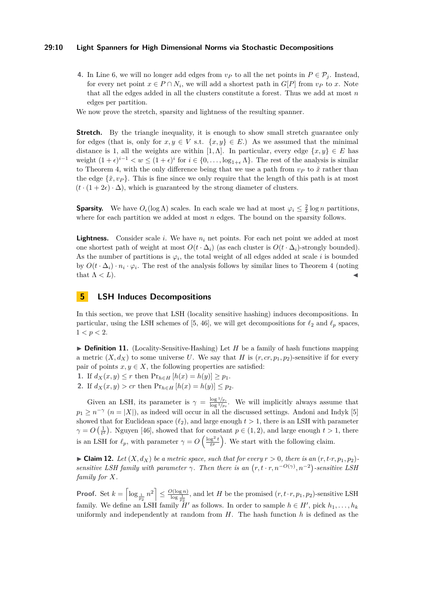#### **29:10 Light Spanners for High Dimensional Norms via Stochastic Decompositions**

**4.** In [Line 6,](#page-5-5) we will no longer add edges from  $v_P$  to all the net points in  $P \in \mathcal{P}_i$ . Instead, for every net point  $x \in P \cap N_i$ , we will add a shortest path in  $G[P]$  from  $v_P$  to  $x$ . Note that all the edges added in all the clusters constitute a forest. Thus we add at most *n* edges per partition.

We now prove the stretch, sparsity and lightness of the resulting spanner.

**Stretch.** By the triangle inequality, it is enough to show small stretch guarantee only for edges (that is, only for  $x, y \in V$  s.t.  $\{x, y\} \in E$ .) As we assumed that the minimal distance is 1, all the weights are within [1,  $\Lambda$ ]. In particular, every edge  $\{x, y\} \in E$  has weight  $(1 + \epsilon)^{i-1} < w \le (1 + \epsilon)^i$  for  $i \in \{0, \ldots, \log_{1+\epsilon} \Lambda\}$ . The rest of the analysis is similar to [Theorem 4,](#page-5-2) with the only difference being that we use a path from  $v_P$  to  $\tilde{x}$  rather than the edge  $\{\tilde{x}, v_P\}$ . This is fine since we only require that the length of this path is at most  $(t \cdot (1 + 2\epsilon) \cdot \Delta)$ , which is guaranteed by the strong diameter of clusters.

**Sparsity.** We have  $O_{\epsilon}(\log \Lambda)$  scales. In each scale we had at most  $\varphi_i \leq \frac{2}{\delta} \log n$  partitions, where for each partition we added at most *n* edges. The bound on the sparsity follows.

**Lightness.** Consider scale *i*. We have  $n_i$  net points. For each net point we added at most one shortest path of weight at most  $O(t \cdot \Delta_i)$  (as each cluster is  $O(t \cdot \Delta_i)$ -strongly bounded). As the number of partitions is  $\varphi_i$ , the total weight of all edges added at scale *i* is bounded by  $O(t \cdot \Delta_i) \cdot n_i \cdot \varphi_i$ . The rest of the analysis follows by similar lines to [Theorem 4](#page-5-2) (noting that  $\Lambda < L$ ).

# <span id="page-9-0"></span>**5 LSH Induces Decompositions**

In this section, we prove that LSH (locality sensitive hashing) induces decompositions. In particular, using the LSH schemes of [\[5,](#page-11-7) [46\]](#page-13-19), we will get decompositions for  $\ell_2$  and  $\ell_p$  spaces,  $1 < p < 2$ .

 $\triangleright$  **Definition 11.** (Locality-Sensitive-Hashing) Let *H* be a family of hash functions mapping a metric  $(X, d_X)$  to some universe U. We say that H is  $(r, cr, p_1, p_2)$ -sensitive if for every pair of points  $x, y \in X$ , the following properties are satisfied:

**1.** If  $d_X(x, y) \leq r$  then  $Pr_{h \in H} [h(x) = h(y)] \geq p_1$ .

**2.** If  $d_X(x, y) > cr$  then  $Pr_{h \in H} [h(x) = h(y)] \leq p_2$ .

Given an LSH, its parameter is  $\gamma = \frac{\log 1/p_1}{\log 1/p_1}$  $\frac{\log 1/p_1}{\log 1/p_2}$ . We will implicitly always assume that  $p_1 \geq n^{-\gamma}$  ( $n = |X|$ ), as indeed will occur in all the discussed settings. Andoni and Indyk [\[5\]](#page-11-7) showed that for Euclidean space  $(\ell_2)$ , and large enough  $t > 1$ , there is an LSH with parameter  $\gamma = O\left(\frac{1}{t^2}\right)$ . Nguyen [\[46\]](#page-13-19), showed that for constant  $p \in (1, 2)$ , and large enough  $t > 1$ , there is an LSH for  $\ell_p$ , with parameter  $\gamma = O\left(\frac{\log^2 t}{t^p}\right)$ . We start with the following claim.

<span id="page-9-1"></span> $\blacktriangleright$  **Claim 12.** Let  $(X, d_X)$  be a metric space, such that for every  $r > 0$ , there is an  $(r, t \cdot r, p_1, p_2)$ *sensitive LSH family with parameter*  $\gamma$ . Then there is an  $(r, t \cdot r, n^{-O(\gamma)}, n^{-2})$ -sensitive LSH *family for X.*

**Proof.** Set  $k = \left\lceil \log_{\frac{1}{p_2}} n^2 \right\rceil \leq \frac{O(\log n)}{\log_{\frac{1}{p_2}}}$ , and let *H* be the promised  $(r, t \cdot r, p_1, p_2)$ -sensitive LSH family. We define an LSH family  $H'$  as follows. In order to sample  $h \in H'$ , pick  $h_1, \ldots, h_k$ uniformly and independently at random from *H*. The hash function *h* is defined as the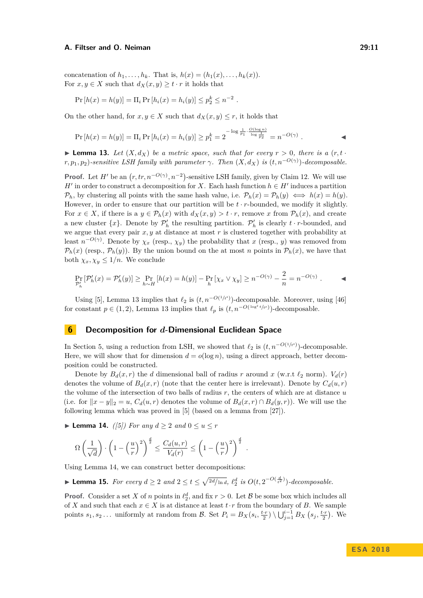concatenation of  $h_1, \ldots, h_k$ . That is,  $h(x) = (h_1(x), \ldots, h_k(x))$ . For  $x, y \in X$  such that  $d_X(x, y) \ge t \cdot r$  it holds that

$$
Pr[h(x) = h(y)] = \Pi_i Pr[h_i(x) = h_i(y)] \le p_2^k \le n^{-2}.
$$

On the other hand, for  $x, y \in X$  such that  $d_X(x, y) \leq r$ , it holds that

$$
\Pr\left[h(x) = h(y)\right] = \Pi_i \Pr\left[h_i(x) = h_i(y)\right] \ge p_1^k = 2^{-\log \frac{1}{p_1} \cdot \frac{O(\log n)}{\log \frac{1}{p_2}}} = n^{-O(\gamma)}.
$$

<span id="page-10-1"></span>**Lemma 13.** Let  $(X, d_X)$  be a metric space, such that for every  $r > 0$ , there is a  $(r, t \cdot$ *r, p*<sub>1</sub>*, p*<sub>2</sub>)*-sensitive LSH family with parameter γ. Then*  $(X, d_X)$  *is*  $(t, n^{-O(\gamma)})$ *-decomposable.* 

**Proof.** Let *H'* be an  $(r, tr, n^{-O(\gamma)}, n^{-2})$ -sensitive LSH family, given by [Claim 12.](#page-9-1) We will use *H*<sup> $\prime$ </sup> in order to construct a decomposition for *X*. Each hash function  $h \in H'$  induces a partition  $\mathcal{P}_h$ , by clustering all points with the same hash value, i.e.  $\mathcal{P}_h(x) = \mathcal{P}_h(y) \iff h(x) = h(y)$ . However, in order to ensure that our partition will be  $t \cdot r$ -bounded, we modify it slightly. For  $x \in X$ , if there is a  $y \in \mathcal{P}_h(x)$  with  $d_X(x, y) > t \cdot r$ , remove *x* from  $\mathcal{P}_h(x)$ , and create a new cluster  $\{x\}$ . Denote by  $\mathcal{P}'_h$  the resulting partition.  $\mathcal{P}'_h$  is clearly  $t \cdot r$ -bounded, and we argue that every pair *x, y* at distance at most *r* is clustered together with probability at least  $n^{-O(\gamma)}$ . Denote by  $\chi_x$  (resp.,  $\chi_y$ ) the probability that *x* (resp., *y*) was removed from  $\mathcal{P}_h(x)$  (resp.,  $\mathcal{P}_h(y)$ ). By the union bound on the at most *n* points in  $\mathcal{P}_h(x)$ , we have that both  $\chi_x, \chi_y \leq 1/n$ . We conclude

$$
\Pr_{\mathcal{P}'_h} \left[ \mathcal{P}'_h(x) = \mathcal{P}'_h(y) \right] \ge \Pr_{h \sim H} \left[ h(x) = h(y) \right] - \Pr_{h} \left[ \chi_x \vee \chi_y \right] \ge n^{-O(\gamma)} - \frac{2}{n} = n^{-O(\gamma)} .
$$

Using [\[5\]](#page-11-7), [Lemma 13](#page-10-1) implies that  $\ell_2$  is  $(t, n^{-O(1/t^2)})$ -decomposable. Moreover, using [\[46\]](#page-13-19) for constant  $p \in (1, 2)$ , [Lemma 13](#page-10-1) implies that  $\ell_p$  is  $(t, n^{-O(\log^2 t / t^p)})$ -decomposable.

# <span id="page-10-0"></span>**6 Decomposition for** *d***-Dimensional Euclidean Space**

In [Section 5,](#page-9-0) using a reduction from LSH, we showed that  $\ell_2$  is  $(t, n^{-O(1/t^2)})$ -decomposable. Here, we will show that for dimension  $d = o(\log n)$ , using a direct approach, better decomposition could be constructed.

Denote by  $B_d(x, r)$  the *d* dimensional ball of radius *r* around *x* (w.r.t  $\ell_2$  norm).  $V_d(r)$ denotes the volume of  $B_d(x, r)$  (note that the center here is irrelevant). Denote by  $C_d(u, r)$ the volume of the intersection of two balls of radius *r*, the centers of which are at distance *u* (i.e. for  $||x - y||_2 = u$ ,  $C_d(u, r)$  denotes the volume of  $B_d(x, r) \cap B_d(y, r)$ ). We will use the following lemma which was proved in [\[5\]](#page-11-7) (based on a lemma from [\[27\]](#page-12-18)).

*.*

<span id="page-10-2"></span>▶ Lemma 14. *([\[5\]](#page-11-7))* For any  $d \ge 2$  and  $0 \le u \le r$ 

$$
\Omega\left(\frac{1}{\sqrt{d}}\right) \cdot \left(1 - \left(\frac{u}{r}\right)^2\right)^{\frac{d}{2}} \le \frac{C_d(u, r)}{V_d(r)} \le \left(1 - \left(\frac{u}{r}\right)^2\right)^{\frac{d}{2}}
$$

Using [Lemma 14,](#page-10-2) we can construct better decompositions:

► **Lemma 15.** For every  $d \geq 2$  and  $2 \leq t \leq \sqrt{\frac{2d}{\ln d}}$ ,  $\ell_2^d$  is  $O(t, 2^{-O(\frac{d}{t^2})})$ -decomposable.

**Proof.** Consider a set *X* of *n* points in  $\ell_2^d$ , and fix  $r > 0$ . Let *B* be some box which includes all of *X* and such that each  $x \in X$  is at distance at least  $t \cdot r$  from the boundary of *B*. We sample points  $s_1, s_2...$  uniformly at random from  $\mathcal{B}$ . Set  $P_i = B_X(s_i, \frac{t \cdot r}{2}) \setminus \bigcup_{j=1}^{i-1} B_X(s_j, \frac{t \cdot r}{2})$ . We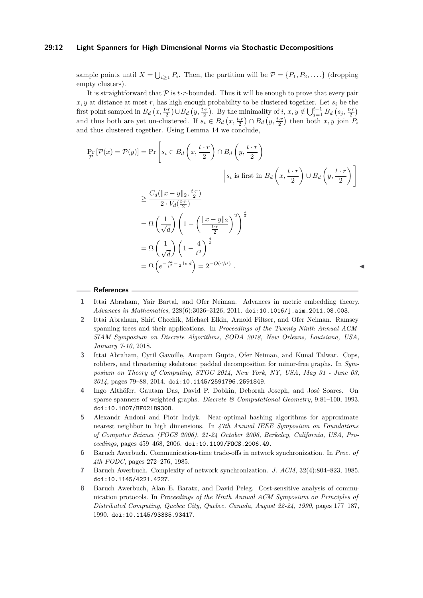#### **29:12 Light Spanners for High Dimensional Norms via Stochastic Decompositions**

sample points until  $X = \bigcup_{i \geq 1} P_i$ . Then, the partition will be  $\mathcal{P} = \{P_1, P_2, \dots\}$  (dropping empty clusters).

It is straightforward that  $\mathcal P$  is  $t \cdot r$ -bounded. Thus it will be enough to prove that every pair  $x, y$  at distance at most r, has high enough probability to be clustered together. Let  $s_i$  be the first point sampled in  $B_d(x, \frac{t \cdot r}{2}) \cup B_d(y, \frac{t \cdot r}{2})$ . By the minimality of  $i, x, y \notin \bigcup_{j=1}^{i-1} B_d(s_j, \frac{t \cdot r}{2})$ and thus both are yet un-clustered. If  $s_i \in B_d(x, \frac{t \cdot r}{2}) \cap B_d(y, \frac{t \cdot r}{2})$  then both  $x, y$  join  $P_i$ and thus clustered together. Using [Lemma 14](#page-10-2) we conclude,

$$
\Pr_{\mathcal{P}}\left[\mathcal{P}(x) = \mathcal{P}(y)\right] = \Pr\left[s_i \in B_d\left(x, \frac{t \cdot r}{2}\right) \cap B_d\left(y, \frac{t \cdot r}{2}\right)\right]
$$
\n
$$
\geq \frac{C_d(\|x - y\|_2, \frac{t \cdot r}{2})}{2 \cdot V_d(\frac{t \cdot r}{2})}
$$
\n
$$
\geq \frac{C_d(\|x - y\|_2, \frac{t \cdot r}{2})}{2 \cdot V_d(\frac{t \cdot r}{2})}
$$
\n
$$
= \Omega\left(\frac{1}{\sqrt{d}}\right) \left(1 - \left(\frac{\|x - y\|_2}{\frac{t \cdot r}{2}}\right)^2\right)^{\frac{d}{2}}
$$
\n
$$
= \Omega\left(\frac{1}{\sqrt{d}}\right) \left(1 - \frac{4}{t^2}\right)^{\frac{d}{2}}
$$
\n
$$
= \Omega\left(e^{-\frac{2d}{t^2} - \frac{1}{2}\ln d}\right) = 2^{-O(d/t^2)}.
$$

#### **References**

- <span id="page-11-4"></span>**1** Ittai Abraham, Yair Bartal, and Ofer Neiman. Advances in metric embedding theory. *Advances in Mathematics*, 228(6):3026–3126, 2011. [doi:10.1016/j.aim.2011.08.003](http://dx.doi.org/10.1016/j.aim.2011.08.003).
- <span id="page-11-5"></span>**2** Ittai Abraham, Shiri Chechik, Michael Elkin, Arnold Filtser, and Ofer Neiman. Ramsey spanning trees and their applications. In *Proceedings of the Twenty-Ninth Annual ACM-SIAM Symposium on Discrete Algorithms, SODA 2018, New Orleans, Louisiana, USA, January 7-10*, 2018.
- <span id="page-11-6"></span>**3** Ittai Abraham, Cyril Gavoille, Anupam Gupta, Ofer Neiman, and Kunal Talwar. Cops, robbers, and threatening skeletons: padded decomposition for minor-free graphs. In *Symposium on Theory of Computing, STOC 2014, New York, NY, USA, May 31 - June 03, 2014*, pages 79–88, 2014. [doi:10.1145/2591796.2591849](http://dx.doi.org/10.1145/2591796.2591849).
- <span id="page-11-2"></span>**4** Ingo Althöfer, Gautam Das, David P. Dobkin, Deborah Joseph, and José Soares. On sparse spanners of weighted graphs. *Discrete & Computational Geometry*, 9:81–100, 1993. [doi:10.1007/BF02189308](http://dx.doi.org/10.1007/BF02189308).
- <span id="page-11-7"></span>**5** Alexandr Andoni and Piotr Indyk. Near-optimal hashing algorithms for approximate nearest neighbor in high dimensions. In *47th Annual IEEE Symposium on Foundations of Computer Science (FOCS 2006), 21-24 October 2006, Berkeley, California, USA, Proceedings*, pages 459–468, 2006. [doi:10.1109/FOCS.2006.49](http://dx.doi.org/10.1109/FOCS.2006.49).
- <span id="page-11-1"></span>**6** Baruch Awerbuch. Communication-time trade-offs in network synchronization. In *Proc. of 4th PODC*, pages 272–276, 1985.
- <span id="page-11-3"></span>**7** Baruch Awerbuch. Complexity of network synchronization. *J. ACM*, 32(4):804–823, 1985. [doi:10.1145/4221.4227](http://dx.doi.org/10.1145/4221.4227).
- <span id="page-11-0"></span>**8** Baruch Awerbuch, Alan E. Baratz, and David Peleg. Cost-sensitive analysis of communication protocols. In *Proceedings of the Ninth Annual ACM Symposium on Principles of Distributed Computing, Quebec City, Quebec, Canada, August 22-24, 1990*, pages 177–187, 1990. [doi:10.1145/93385.93417](http://dx.doi.org/10.1145/93385.93417).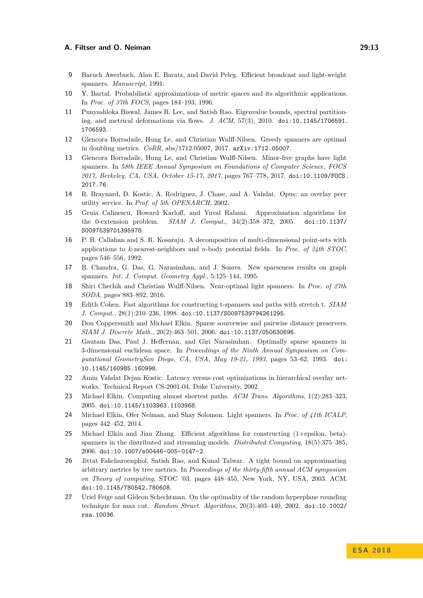- <span id="page-12-0"></span>**9** Baruch Awerbuch, Alan E. Baratz, and David Peleg. Efficient broadcast and light-weight spanners. *Manuscript*, 1991.
- <span id="page-12-12"></span>**10** Y. Bartal. Probabilistic approximations of metric spaces and its algorithmic applications. In *Proc. of 37th FOCS*, pages 184–193, 1996.
- <span id="page-12-15"></span>**11** Punyashloka Biswal, James R. Lee, and Satish Rao. Eigenvalue bounds, spectral partitioning, and metrical deformations via flows. *J. ACM*, 57(3), 2010. [doi:10.1145/1706591.](http://dx.doi.org/10.1145/1706591.1706593) [1706593](http://dx.doi.org/10.1145/1706591.1706593).
- <span id="page-12-10"></span>**12** Glencora Borradaile, Hung Le, and Christian Wulff-Nilsen. Greedy spanners are optimal in doubling metrics. *CoRR*, abs/1712.05007, 2017. [arXiv:1712.05007](http://arxiv.org/abs/1712.05007).
- <span id="page-12-11"></span>**13** Glencora Borradaile, Hung Le, and Christian Wulff-Nilsen. Minor-free graphs have light spanners. In *58th IEEE Annual Symposium on Foundations of Computer Science, FOCS 2017, Berkeley, CA, USA, October 15-17, 2017*, pages 767–778, 2017. [doi:10.1109/FOCS.](http://dx.doi.org/10.1109/FOCS.2017.76) [2017.76](http://dx.doi.org/10.1109/FOCS.2017.76).
- <span id="page-12-1"></span>**14** R. Braynard, D. Kostic, A. Rodriguez, J. Chase, and A. Vahdat. Opus: an overlay peer utility service. In *Prof. of 5th OPENARCH*, 2002.
- <span id="page-12-14"></span>**15** Gruia Calinescu, Howard Karloff, and Yuval Rabani. Approximation algorithms for the 0-extension problem. *SIAM J. Comput.*, 34(2):358–372, 2005. [doi:10.1137/](http://dx.doi.org/10.1137/S0097539701395978) [S0097539701395978](http://dx.doi.org/10.1137/S0097539701395978).
- <span id="page-12-16"></span>**16** P. B. Callahan and S. R. Kosaraju. A decomposition of multi-dimensional point-sets with applications to *k*-nearest-neighbors and *n*-body potential fields. In *Proc. of 24th STOC*, pages 546–556, 1992.
- <span id="page-12-6"></span>**17** B. Chandra, G. Das, G. Narasimhan, and J. Soares. New sparseness results on graph spanners. *Int. J. Comput. Geometry Appl.*, 5:125–144, 1995.
- <span id="page-12-8"></span>**18** Shiri Chechik and Christian Wulff-Nilsen. Near-optimal light spanners. In *Proc. of 27th SODA*, pages 883–892, 2016.
- <span id="page-12-3"></span>**19** Edith Cohen. Fast algorithms for constructing t-spanners and paths with stretch t. *SIAM J. Comput.*, 28(1):210–236, 1998. [doi:10.1137/S0097539794261295](http://dx.doi.org/10.1137/S0097539794261295).
- <span id="page-12-17"></span>**20** Don Coppersmith and Michael Elkin. Sparse sourcewise and pairwise distance preservers. *SIAM J. Discrete Math.*, 20(2):463–501, 2006. [doi:10.1137/050630696](http://dx.doi.org/10.1137/050630696).
- <span id="page-12-9"></span>**21** Gautam Das, Paul J. Heffernan, and Giri Narasimhan. Optimally sparse spanners in 3-dimensional euclidean space. In *Proceedings of the Ninth Annual Symposium on Computational GeometrySan Diego, CA, USA, May 19-21, 1993*, pages 53–62, 1993. [doi:](http://dx.doi.org/10.1145/160985.160998) [10.1145/160985.160998](http://dx.doi.org/10.1145/160985.160998).
- <span id="page-12-2"></span>**22** Amin Vahdat Dejan Kostic. Latency versus cost optimizations in hierarchical overlay networks. Technical Report CS-2001-04, Duke University, 2002.
- <span id="page-12-4"></span>**23** Michael Elkin. Computing almost shortest paths. *ACM Trans. Algorithms*, 1(2):283–323, 2005. [doi:10.1145/1103963.1103968](http://dx.doi.org/10.1145/1103963.1103968).
- <span id="page-12-7"></span>**24** Michael Elkin, Ofer Neiman, and Shay Solomon. Light spanners. In *Proc. of 41th ICALP*, pages 442–452, 2014.
- <span id="page-12-5"></span>**25** Michael Elkin and Jian Zhang. Efficient algorithms for constructing (1+epsilon, beta) spanners in the distributed and streaming models. *Distributed Computing*, 18(5):375–385, 2006. [doi:10.1007/s00446-005-0147-2](http://dx.doi.org/10.1007/s00446-005-0147-2).
- <span id="page-12-13"></span>**26** Jittat Fakcharoenphol, Satish Rao, and Kunal Talwar. A tight bound on approximating arbitrary metrics by tree metrics. In *Proceedings of the thirty-fifth annual ACM symposium on Theory of computing*, STOC '03, pages 448–455, New York, NY, USA, 2003. ACM. [doi:10.1145/780542.780608](http://dx.doi.org/10.1145/780542.780608).
- <span id="page-12-18"></span>**27** Uriel Feige and Gideon Schechtman. On the optimality of the random hyperplane rounding technique for max cut. *Random Struct. Algorithms*, 20(3):403–440, 2002. [doi:10.1002/](http://dx.doi.org/10.1002/rsa.10036) [rsa.10036](http://dx.doi.org/10.1002/rsa.10036).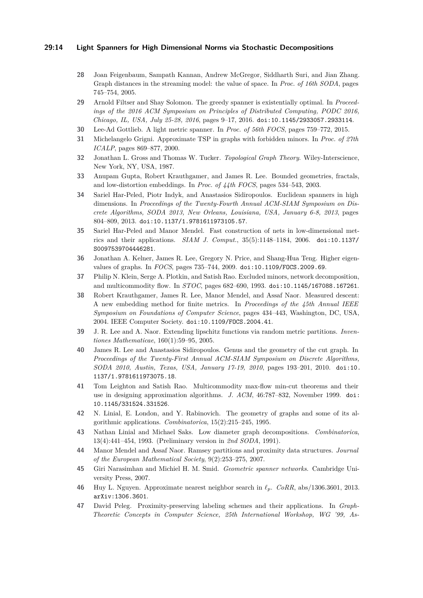#### **29:14 Light Spanners for High Dimensional Norms via Stochastic Decompositions**

- <span id="page-13-1"></span>**28** Joan Feigenbaum, Sampath Kannan, Andrew McGregor, Siddharth Suri, and Jian Zhang. Graph distances in the streaming model: the value of space. In *Proc. of 16th SODA*, pages 745–754, 2005.
- <span id="page-13-4"></span>**29** Arnold Filtser and Shay Solomon. The greedy spanner is existentially optimal. In *Proceedings of the 2016 ACM Symposium on Principles of Distributed Computing, PODC 2016, Chicago, IL, USA, July 25-28, 2016*, pages 9–17, 2016. [doi:10.1145/2933057.2933114](http://dx.doi.org/10.1145/2933057.2933114).
- <span id="page-13-3"></span>**30** Lee-Ad Gottlieb. A light metric spanner. In *Proc. of 56th FOCS*, pages 759–772, 2015.
- <span id="page-13-5"></span>**31** Michelangelo Grigni. Approximate TSP in graphs with forbidden minors. In *Proc. of 27th ICALP*, pages 869–877, 2000.
- <span id="page-13-18"></span>**32** Jonathan L. Gross and Thomas W. Tucker. *Topological Graph Theory*. Wiley-Interscience, New York, NY, USA, 1987.
- <span id="page-13-15"></span>**33** Anupam Gupta, Robert Krauthgamer, and James R. Lee. Bounded geometries, fractals, and low-distortion embeddings. In *Proc. of 44th FOCS*, pages 534–543, 2003.
- <span id="page-13-6"></span>**34** Sariel Har-Peled, Piotr Indyk, and Anastasios Sidiropoulos. Euclidean spanners in high dimensions. In *Proceedings of the Twenty-Fourth Annual ACM-SIAM Symposium on Discrete Algorithms, SODA 2013, New Orleans, Louisiana, USA, January 6-8, 2013*, pages 804–809, 2013. [doi:10.1137/1.9781611973105.57](http://dx.doi.org/10.1137/1.9781611973105.57).
- <span id="page-13-14"></span>**35** Sariel Har-Peled and Manor Mendel. Fast construction of nets in low-dimensional metrics and their applications. *SIAM J. Comput.*, 35(5):1148–1184, 2006. [doi:10.1137/](http://dx.doi.org/10.1137/S0097539704446281) [S0097539704446281](http://dx.doi.org/10.1137/S0097539704446281).
- <span id="page-13-13"></span>**36** Jonathan A. Kelner, James R. Lee, Gregory N. Price, and Shang-Hua Teng. Higher eigenvalues of graphs. In *FOCS*, pages 735–744, 2009. [doi:10.1109/FOCS.2009.69](http://dx.doi.org/10.1109/FOCS.2009.69).
- <span id="page-13-12"></span>**37** Philip N. Klein, Serge A. Plotkin, and Satish Rao. Excluded minors, network decomposition, and multicommodity flow. In *STOC*, pages 682–690, 1993. [doi:10.1145/167088.167261](http://dx.doi.org/10.1145/167088.167261).
- <span id="page-13-8"></span>**38** Robert Krauthgamer, James R. Lee, Manor Mendel, and Assaf Naor. Measured descent: A new embedding method for finite metrics. In *Proceedings of the 45th Annual IEEE Symposium on Foundations of Computer Science*, pages 434–443, Washington, DC, USA, 2004. IEEE Computer Society. [doi:10.1109/FOCS.2004.41](http://dx.doi.org/10.1109/FOCS.2004.41).
- <span id="page-13-9"></span>**39** J. R. Lee and A. Naor. Extending lipschitz functions via random metric partitions. *Inventiones Mathematicae*, 160(1):59–95, 2005.
- <span id="page-13-16"></span>**40** James R. Lee and Anastasios Sidiropoulos. Genus and the geometry of the cut graph. In *Proceedings of the Twenty-First Annual ACM-SIAM Symposium on Discrete Algorithms, SODA 2010, Austin, Texas, USA, January 17-19, 2010*, pages 193–201, 2010. [doi:10.](http://dx.doi.org/10.1137/1.9781611973075.18) [1137/1.9781611973075.18](http://dx.doi.org/10.1137/1.9781611973075.18).
- <span id="page-13-11"></span>**41** Tom Leighton and Satish Rao. Multicommodity max-flow min-cut theorems and their use in designing approximation algorithms. *J. ACM*, 46:787–832, November 1999. [doi:](http://dx.doi.org/10.1145/331524.331526) [10.1145/331524.331526](http://dx.doi.org/10.1145/331524.331526).
- <span id="page-13-17"></span>**42** N. Linial, E. London, and Y. Rabinovich. The geometry of graphs and some of its algorithmic applications. *Combinatorica*, 15(2):215–245, 1995.
- <span id="page-13-7"></span>**43** Nathan Linial and Michael Saks. Low diameter graph decompositions. *Combinatorica*, 13(4):441–454, 1993. (Preliminary version in *2nd SODA*, 1991).
- <span id="page-13-10"></span>**44** Manor Mendel and Assaf Naor. Ramsey partitions and proximity data structures. *Journal of the European Mathematical Society*, 9(2):253–275, 2007.
- <span id="page-13-2"></span>**45** Giri Narasimhan and Michiel H. M. Smid. *Geometric spanner networks*. Cambridge University Press, 2007.
- <span id="page-13-19"></span>**46** Huy L. Nguyen. Approximate nearest neighbor search in *`p*. *CoRR*, abs/1306.3601, 2013. [arXiv:1306.3601](http://arxiv.org/abs/1306.3601).
- <span id="page-13-0"></span>**47** David Peleg. Proximity-preserving labeling schemes and their applications. In *Graph-Theoretic Concepts in Computer Science, 25th International Workshop, WG '99, As-*